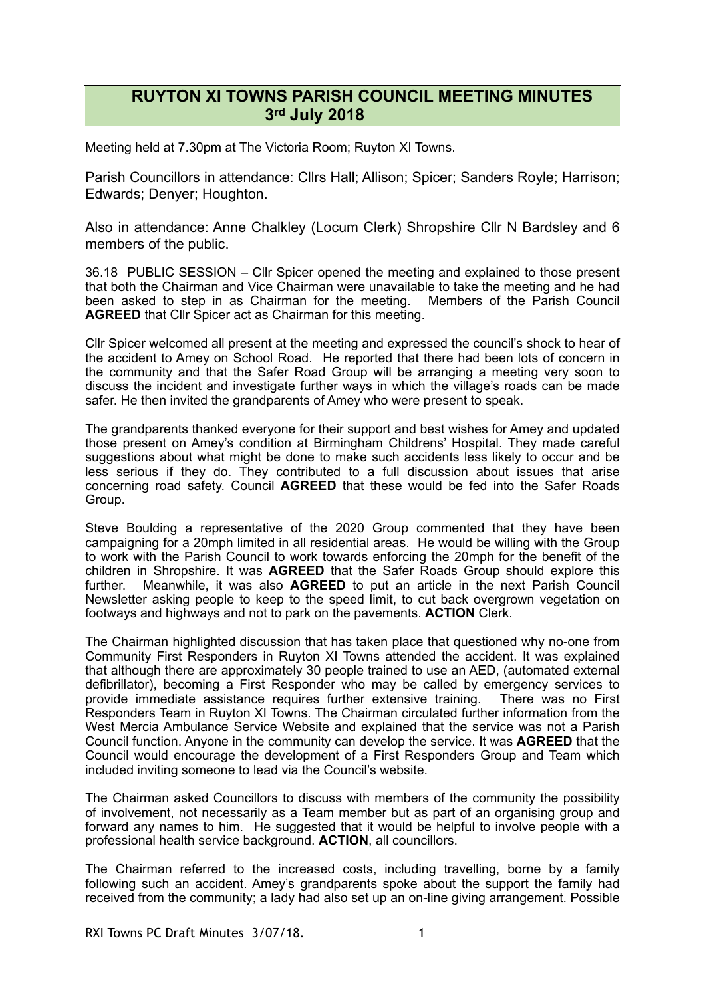## **RUYTON XI TOWNS PARISH COUNCIL MEETING MINUTES 3rd July 2018**

Meeting held at 7.30pm at The Victoria Room; Ruyton XI Towns.

Parish Councillors in attendance: Cllrs Hall; Allison; Spicer; Sanders Royle; Harrison; Edwards; Denyer; Houghton.

Also in attendance: Anne Chalkley (Locum Clerk) Shropshire Cllr N Bardsley and 6 members of the public.

36.18 PUBLIC SESSION – Cllr Spicer opened the meeting and explained to those present that both the Chairman and Vice Chairman were unavailable to take the meeting and he had been asked to step in as Chairman for the meeting. Members of the Parish Council **AGREED** that Cllr Spicer act as Chairman for this meeting.

Cllr Spicer welcomed all present at the meeting and expressed the council's shock to hear of the accident to Amey on School Road. He reported that there had been lots of concern in the community and that the Safer Road Group will be arranging a meeting very soon to discuss the incident and investigate further ways in which the village's roads can be made safer. He then invited the grandparents of Amey who were present to speak.

The grandparents thanked everyone for their support and best wishes for Amey and updated those present on Amey's condition at Birmingham Childrens' Hospital. They made careful suggestions about what might be done to make such accidents less likely to occur and be less serious if they do. They contributed to a full discussion about issues that arise concerning road safety. Council **AGREED** that these would be fed into the Safer Roads Group.

Steve Boulding a representative of the 2020 Group commented that they have been campaigning for a 20mph limited in all residential areas. He would be willing with the Group to work with the Parish Council to work towards enforcing the 20mph for the benefit of the children in Shropshire. It was **AGREED** that the Safer Roads Group should explore this further. Meanwhile, it was also **AGREED** to put an article in the next Parish Council Newsletter asking people to keep to the speed limit, to cut back overgrown vegetation on footways and highways and not to park on the pavements. **ACTION** Clerk.

The Chairman highlighted discussion that has taken place that questioned why no-one from Community First Responders in Ruyton XI Towns attended the accident. It was explained that although there are approximately 30 people trained to use an AED, (automated external defibrillator), becoming a First Responder who may be called by emergency services to provide immediate assistance requires further extensive training. There was no First Responders Team in Ruyton XI Towns. The Chairman circulated further information from the West Mercia Ambulance Service Website and explained that the service was not a Parish Council function. Anyone in the community can develop the service. It was **AGREED** that the Council would encourage the development of a First Responders Group and Team which included inviting someone to lead via the Council's website.

The Chairman asked Councillors to discuss with members of the community the possibility of involvement, not necessarily as a Team member but as part of an organising group and forward any names to him. He suggested that it would be helpful to involve people with a professional health service background. **ACTION**, all councillors.

The Chairman referred to the increased costs, including travelling, borne by a family following such an accident. Amey's grandparents spoke about the support the family had received from the community; a lady had also set up an on-line giving arrangement. Possible

RXI Towns PC Draft Minutes 3/07/18.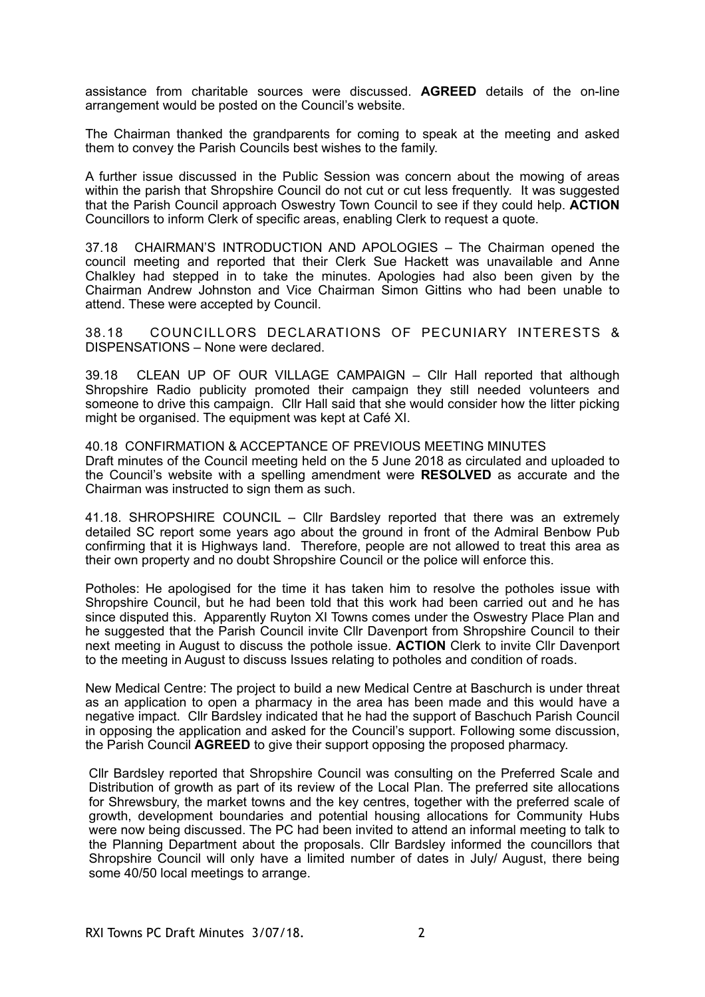assistance from charitable sources were discussed. **AGREED** details of the on-line arrangement would be posted on the Council's website.

The Chairman thanked the grandparents for coming to speak at the meeting and asked them to convey the Parish Councils best wishes to the family.

A further issue discussed in the Public Session was concern about the mowing of areas within the parish that Shropshire Council do not cut or cut less frequently. It was suggested that the Parish Council approach Oswestry Town Council to see if they could help. **ACTION** Councillors to inform Clerk of specific areas, enabling Clerk to request a quote.

37.18 CHAIRMAN'S INTRODUCTION AND APOLOGIES – The Chairman opened the council meeting and reported that their Clerk Sue Hackett was unavailable and Anne Chalkley had stepped in to take the minutes. Apologies had also been given by the Chairman Andrew Johnston and Vice Chairman Simon Gittins who had been unable to attend. These were accepted by Council.

38.18 COUNCILLORS DECLARATIONS OF PECUNIARY INTERESTS & DISPENSATIONS – None were declared.

39.18 CLEAN UP OF OUR VILLAGE CAMPAIGN – Cllr Hall reported that although Shropshire Radio publicity promoted their campaign they still needed volunteers and someone to drive this campaign. Cllr Hall said that she would consider how the litter picking might be organised. The equipment was kept at Café XI.

40.18 CONFIRMATION & ACCEPTANCE OF PREVIOUS MEETING MINUTES Draft minutes of the Council meeting held on the 5 June 2018 as circulated and uploaded to the Council's website with a spelling amendment were **RESOLVED** as accurate and the Chairman was instructed to sign them as such.

41.18. SHROPSHIRE COUNCIL – Cllr Bardsley reported that there was an extremely detailed SC report some years ago about the ground in front of the Admiral Benbow Pub confirming that it is Highways land. Therefore, people are not allowed to treat this area as their own property and no doubt Shropshire Council or the police will enforce this.

Potholes: He apologised for the time it has taken him to resolve the potholes issue with Shropshire Council, but he had been told that this work had been carried out and he has since disputed this. Apparently Ruyton XI Towns comes under the Oswestry Place Plan and he suggested that the Parish Council invite Cllr Davenport from Shropshire Council to their next meeting in August to discuss the pothole issue. **ACTION** Clerk to invite Cllr Davenport to the meeting in August to discuss Issues relating to potholes and condition of roads.

New Medical Centre: The project to build a new Medical Centre at Baschurch is under threat as an application to open a pharmacy in the area has been made and this would have a negative impact. Cllr Bardsley indicated that he had the support of Baschuch Parish Council in opposing the application and asked for the Council's support. Following some discussion, the Parish Council **AGREED** to give their support opposing the proposed pharmacy.

Cllr Bardsley reported that Shropshire Council was consulting on the Preferred Scale and Distribution of growth as part of its review of the Local Plan. The preferred site allocations for Shrewsbury, the market towns and the key centres, together with the preferred scale of growth, development boundaries and potential housing allocations for Community Hubs were now being discussed. The PC had been invited to attend an informal meeting to talk to the Planning Department about the proposals. Cllr Bardsley informed the councillors that Shropshire Council will only have a limited number of dates in July/ August, there being some 40/50 local meetings to arrange.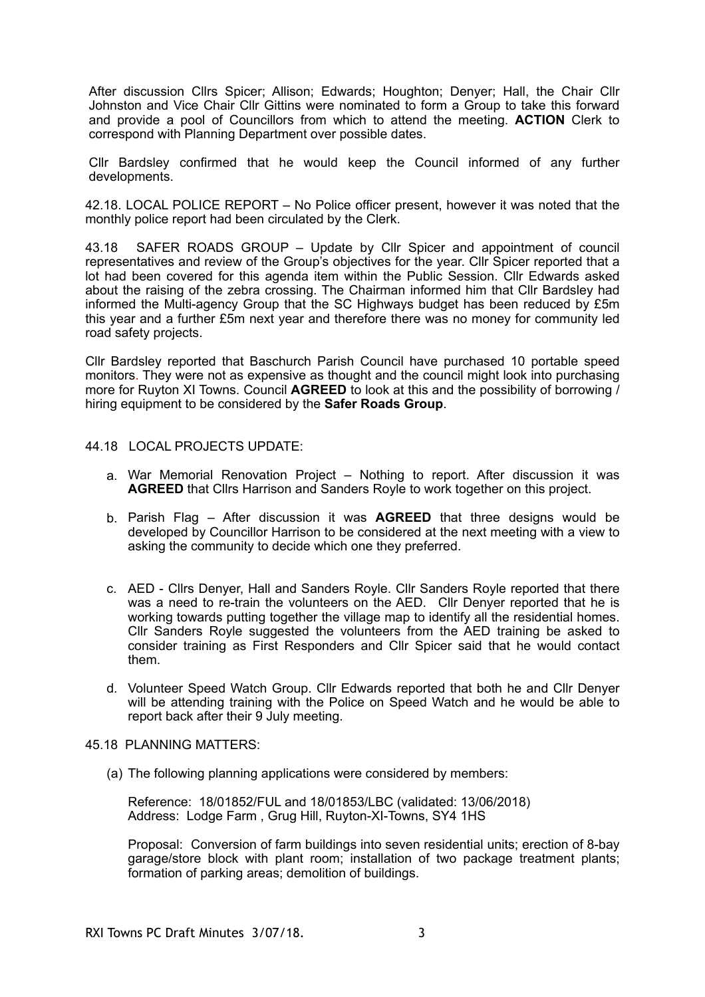After discussion Cllrs Spicer; Allison; Edwards; Houghton; Denyer; Hall, the Chair Cllr Johnston and Vice Chair Cllr Gittins were nominated to form a Group to take this forward and provide a pool of Councillors from which to attend the meeting. **ACTION** Clerk to correspond with Planning Department over possible dates.

Cllr Bardsley confirmed that he would keep the Council informed of any further developments.

42.18. LOCAL POLICE REPORT – No Police officer present, however it was noted that the monthly police report had been circulated by the Clerk.

43.18 SAFER ROADS GROUP – Update by Cllr Spicer and appointment of council representatives and review of the Group's objectives for the year. Cllr Spicer reported that a lot had been covered for this agenda item within the Public Session. Cllr Edwards asked about the raising of the zebra crossing. The Chairman informed him that Cllr Bardsley had informed the Multi-agency Group that the SC Highways budget has been reduced by £5m this year and a further £5m next year and therefore there was no money for community led road safety projects.

Cllr Bardsley reported that Baschurch Parish Council have purchased 10 portable speed monitors. They were not as expensive as thought and the council might look into purchasing more for Ruyton XI Towns. Council **AGREED** to look at this and the possibility of borrowing / hiring equipment to be considered by the **Safer Roads Group**.

## 44.18 LOCAL PROJECTS UPDATE:

- a. War Memorial Renovation Project Nothing to report. After discussion it was **AGREED** that Cllrs Harrison and Sanders Royle to work together on this project.
- b. Parish Flag After discussion it was **AGREED** that three designs would be developed by Councillor Harrison to be considered at the next meeting with a view to asking the community to decide which one they preferred.
- c. AED Cllrs Denyer, Hall and Sanders Royle. Cllr Sanders Royle reported that there was a need to re-train the volunteers on the AED. Cllr Denyer reported that he is working towards putting together the village map to identify all the residential homes. Cllr Sanders Royle suggested the volunteers from the AED training be asked to consider training as First Responders and Cllr Spicer said that he would contact them.
- d. Volunteer Speed Watch Group. Cllr Edwards reported that both he and Cllr Denyer will be attending training with the Police on Speed Watch and he would be able to report back after their 9 July meeting.

## 45.18 PLANNING MATTERS:

(a) The following planning applications were considered by members:

 Reference: 18/01852/FUL and 18/01853/LBC (validated: 13/06/2018) Address: Lodge Farm , Grug Hill, Ruyton-XI-Towns, SY4 1HS

Proposal: Conversion of farm buildings into seven residential units; erection of 8-bay garage/store block with plant room; installation of two package treatment plants; formation of parking areas; demolition of buildings.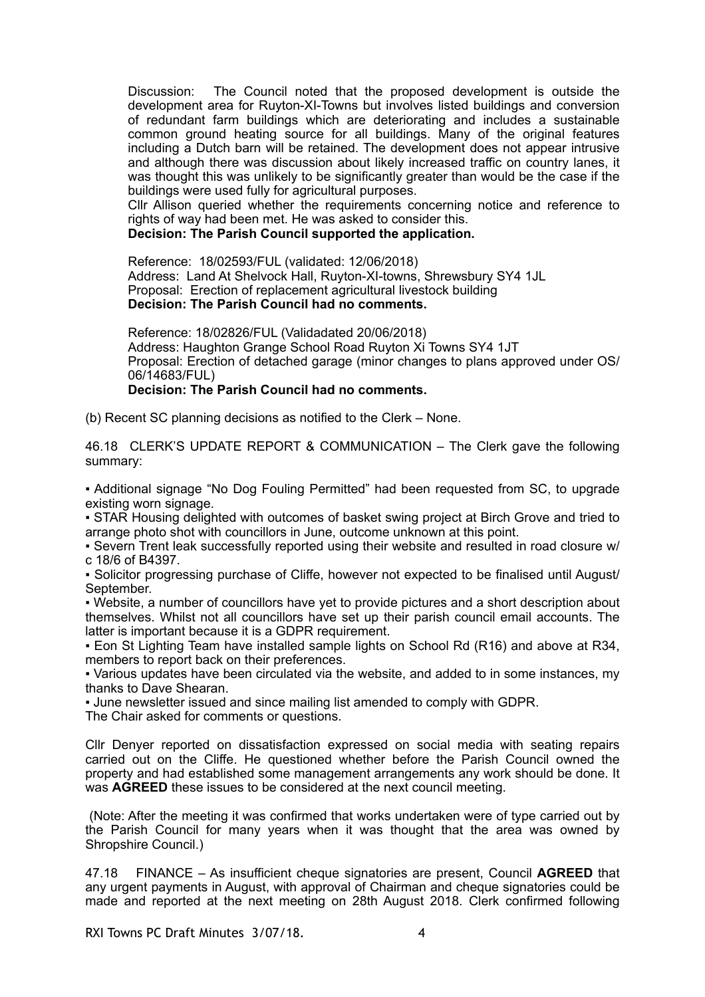Discussion: The Council noted that the proposed development is outside the development area for Ruyton-XI-Towns but involves listed buildings and conversion of redundant farm buildings which are deteriorating and includes a sustainable common ground heating source for all buildings. Many of the original features including a Dutch barn will be retained. The development does not appear intrusive and although there was discussion about likely increased traffic on country lanes, it was thought this was unlikely to be significantly greater than would be the case if the buildings were used fully for agricultural purposes.

Cllr Allison queried whether the requirements concerning notice and reference to rights of way had been met. He was asked to consider this.

**Decision: The Parish Council supported the application.** 

Reference: 18/02593/FUL (validated: 12/06/2018) Address: Land At Shelvock Hall, Ruyton-XI-towns, Shrewsbury SY4 1JL Proposal: Erection of replacement agricultural livestock building **Decision: The Parish Council had no comments.** 

Reference: 18/02826/FUL (Validadated 20/06/2018) Address: Haughton Grange School Road Ruyton Xi Towns SY4 1JT Proposal: Erection of detached garage (minor changes to plans approved under OS/ 06/14683/FUL) **Decision: The Parish Council had no comments.** 

(b) Recent SC planning decisions as notified to the Clerk – None.

46.18 CLERK'S UPDATE REPORT & COMMUNICATION – The Clerk gave the following summary:

▪ Additional signage "No Dog Fouling Permitted" had been requested from SC, to upgrade existing worn signage.

▪ STAR Housing delighted with outcomes of basket swing project at Birch Grove and tried to arrange photo shot with councillors in June, outcome unknown at this point.

▪ Severn Trent leak successfully reported using their website and resulted in road closure w/ c 18/6 of B4397.

▪ Solicitor progressing purchase of Cliffe, however not expected to be finalised until August/ September.

▪ Website, a number of councillors have yet to provide pictures and a short description about themselves. Whilst not all councillors have set up their parish council email accounts. The latter is important because it is a GDPR requirement.

▪ Eon St Lighting Team have installed sample lights on School Rd (R16) and above at R34, members to report back on their preferences.

▪ Various updates have been circulated via the website, and added to in some instances, my thanks to Dave Shearan.

▪ June newsletter issued and since mailing list amended to comply with GDPR.

The Chair asked for comments or questions.

Cllr Denyer reported on dissatisfaction expressed on social media with seating repairs carried out on the Cliffe. He questioned whether before the Parish Council owned the property and had established some management arrangements any work should be done. It was **AGREED** these issues to be considered at the next council meeting.

 (Note: After the meeting it was confirmed that works undertaken were of type carried out by the Parish Council for many years when it was thought that the area was owned by Shropshire Council.)

47.18 FINANCE – As insufficient cheque signatories are present, Council **AGREED** that any urgent payments in August, with approval of Chairman and cheque signatories could be made and reported at the next meeting on 28th August 2018. Clerk confirmed following

RXI Towns PC Draft Minutes 3/07/18. 4